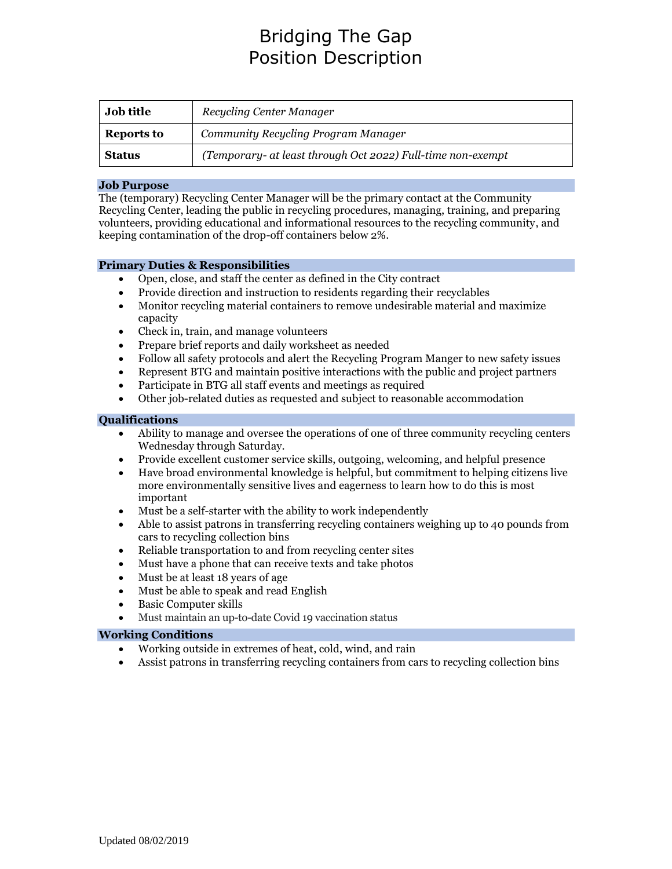# Bridging The Gap Position Description

| <b>Job title</b>  | Recycling Center Manager                                    |
|-------------------|-------------------------------------------------------------|
| <b>Reports to</b> | Community Recycling Program Manager                         |
| <b>Status</b>     | (Temporary- at least through Oct 2022) Full-time non-exempt |

#### **Job Purpose**

The (temporary) Recycling Center Manager will be the primary contact at the Community Recycling Center, leading the public in recycling procedures, managing, training, and preparing volunteers, providing educational and informational resources to the recycling community, and keeping contamination of the drop-off containers below 2%.

## **Primary Duties & Responsibilities**

- Open, close, and staff the center as defined in the City contract
- Provide direction and instruction to residents regarding their recyclables
- Monitor recycling material containers to remove undesirable material and maximize capacity
- Check in, train, and manage volunteers
- Prepare brief reports and daily worksheet as needed
- Follow all safety protocols and alert the Recycling Program Manger to new safety issues
- Represent BTG and maintain positive interactions with the public and project partners
- Participate in BTG all staff events and meetings as required
- Other job-related duties as requested and subject to reasonable accommodation

#### **Qualifications**

- Ability to manage and oversee the operations of one of three community recycling centers Wednesday through Saturday.
- Provide excellent customer service skills, outgoing, welcoming, and helpful presence
- Have broad environmental knowledge is helpful, but commitment to helping citizens live more environmentally sensitive lives and eagerness to learn how to do this is most important
- Must be a self-starter with the ability to work independently
- Able to assist patrons in transferring recycling containers weighing up to 40 pounds from cars to recycling collection bins
- Reliable transportation to and from recycling center sites
- Must have a phone that can receive texts and take photos
- Must be at least 18 years of age
- Must be able to speak and read English
- Basic Computer skills
- Must maintain an up-to-date Covid 19 vaccination status

## **Working Conditions**

- Working outside in extremes of heat, cold, wind, and rain
- Assist patrons in transferring recycling containers from cars to recycling collection bins